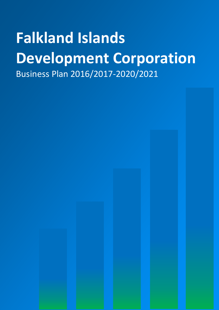# **Falkland Islands Development Corporation** Business Plan 2016/2017-2020/2021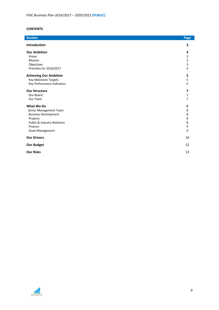# **CONTENTS**

| Introduction<br>$\overline{2}$<br><b>Our Ambition</b><br>3<br>3<br>Vision<br>3<br>Mission<br>Objectives<br>3<br>Priorities for 2016/2017<br>4<br><b>Achieving Our Ambition</b><br>5<br>Key Milestone Targets<br>5<br>Key Performance Indicators<br>6<br><b>Our Structure</b><br>7<br>Our Board<br>$\overline{7}$<br>Our Team<br>7<br>What We Do<br>8<br>8<br>Senior Management Team<br><b>Business Development</b><br>8<br>8<br>Projects<br>Public & Industry Relations<br>8<br>9<br>Finance<br>9<br>Asset Management<br><b>Our Drivers</b><br>10<br><b>Our Budget</b><br>12<br><b>Our Risks</b><br>13 | <b>Section</b> | Page |
|--------------------------------------------------------------------------------------------------------------------------------------------------------------------------------------------------------------------------------------------------------------------------------------------------------------------------------------------------------------------------------------------------------------------------------------------------------------------------------------------------------------------------------------------------------------------------------------------------------|----------------|------|
|                                                                                                                                                                                                                                                                                                                                                                                                                                                                                                                                                                                                        |                |      |
|                                                                                                                                                                                                                                                                                                                                                                                                                                                                                                                                                                                                        |                |      |
|                                                                                                                                                                                                                                                                                                                                                                                                                                                                                                                                                                                                        |                |      |
|                                                                                                                                                                                                                                                                                                                                                                                                                                                                                                                                                                                                        |                |      |
|                                                                                                                                                                                                                                                                                                                                                                                                                                                                                                                                                                                                        |                |      |
|                                                                                                                                                                                                                                                                                                                                                                                                                                                                                                                                                                                                        |                |      |
|                                                                                                                                                                                                                                                                                                                                                                                                                                                                                                                                                                                                        |                |      |
|                                                                                                                                                                                                                                                                                                                                                                                                                                                                                                                                                                                                        |                |      |
|                                                                                                                                                                                                                                                                                                                                                                                                                                                                                                                                                                                                        |                |      |
|                                                                                                                                                                                                                                                                                                                                                                                                                                                                                                                                                                                                        |                |      |
|                                                                                                                                                                                                                                                                                                                                                                                                                                                                                                                                                                                                        |                |      |
|                                                                                                                                                                                                                                                                                                                                                                                                                                                                                                                                                                                                        |                |      |
|                                                                                                                                                                                                                                                                                                                                                                                                                                                                                                                                                                                                        |                |      |
|                                                                                                                                                                                                                                                                                                                                                                                                                                                                                                                                                                                                        |                |      |
|                                                                                                                                                                                                                                                                                                                                                                                                                                                                                                                                                                                                        |                |      |
|                                                                                                                                                                                                                                                                                                                                                                                                                                                                                                                                                                                                        |                |      |
|                                                                                                                                                                                                                                                                                                                                                                                                                                                                                                                                                                                                        |                |      |
|                                                                                                                                                                                                                                                                                                                                                                                                                                                                                                                                                                                                        |                |      |
|                                                                                                                                                                                                                                                                                                                                                                                                                                                                                                                                                                                                        |                |      |
|                                                                                                                                                                                                                                                                                                                                                                                                                                                                                                                                                                                                        |                |      |
|                                                                                                                                                                                                                                                                                                                                                                                                                                                                                                                                                                                                        |                |      |
|                                                                                                                                                                                                                                                                                                                                                                                                                                                                                                                                                                                                        |                |      |

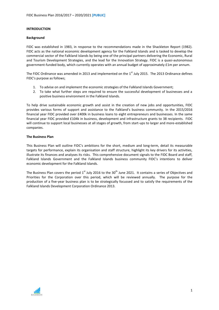#### **INTRODUCTION**

#### **Background**

FIDC was established in 1983, in response to the recommendations made in the Shackleton Report (1982). FIDC acts as the national economic development agency for the Falkland Islands and is tasked to develop the commercial sector of the Falkland Islands by being one of the principal partners delivering the Economic, Rural and Tourism Development Strategies, and the lead for the Innovation Strategy. FIDC is a quasi-autonomous government-funded body, which currently operates with an annual budget of approximately £1m per annum.

The FIDC Ordinance was amended in 2013 and implemented on the  $1<sup>st</sup>$  July 2015. The 2013 Ordinance defines FIDC's purpose as follows;

- 1. To advise on and implement the economic strategies of the Falkland Islands Government;
- 2. To take what further steps are required to ensure the successful development of businesses and a positive business environment in the Falkland Islands.

To help drive sustainable economic growth and assist in the creation of new jobs and opportunities, FIDC provides various forms of support and assistance to the Falkland's business community. In the 2015/2016 financial year FIDC provided over £400k in business loans to eight entrepreneurs and businesses. In the same financial year FIDC provided £104k in business, development and infrastructure grants to 38 recipients. FIDC will continue to support local businesses at all stages of growth, from start-ups to larger and more-established companies.

#### **The Business Plan**

This Business Plan will outline FIDC's ambitions for the short, medium and long-term, detail its measurable targets for performance, explain its organisation and staff structure, highlight its key drivers for its activities, illustrate its finances and analyses its risks. This comprehensive document signals to the FIDC Board and staff, Falkland Islands Government and the Falkland Islands business community FIDC's intentions to deliver economic development for the Falkland Islands.

The Business Plan covers the period  $1^{\text{st}}$  July 2016 to the 30<sup>th</sup> June 2021. It contains a series of Objectives and Priorities for the Corporation over this period, which will be reviewed annually. The purpose for the production of a five-year business plan is to be strategically focussed and to satisfy the requirements of the Falkland Islands Development Corporation Ordinance 2013.

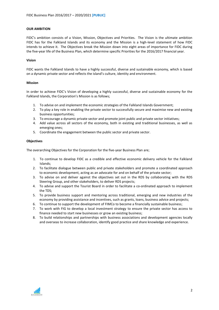#### **OUR AMBITION**

FIDC's ambition consists of a Vision, Mission, Objectives and Priorities. The Vision is the ultimate ambition FIDC has for the Falkland Islands and its economy and the Mission is a high-level statement of how FIDC intends to achieve it. The Objectives break the Mission down into eight areas of importance for FIDC during the five-year life of the Business Plan, which determine specific Priorities for the 2016/2017 financial year.

#### **Vision**

FIDC wants the Falkland Islands to have a highly successful, diverse and sustainable economy, which is based on a dynamic private sector and reflects the island's culture, identity and environment.

#### **Mission**

In order to achieve FIDC's Vision of developing a highly successful, diverse and sustainable economy for the Falkland Islands, the Corporation's Mission is as follows;

- 1. To advise on and implement the economic strategies of the Falkland Islands Government;
- 2. To play a key role in enabling the private sector to successfully secure and maximise new and existing business opportunities;
- 3. To encourage a dynamic private sector and promote joint public and private sector initiatives;
- 4. Add value across all sectors of the economy, both in existing and traditional businesses, as well as emerging ones;
- 5. Coordinate the engagement between the public sector and private sector.

#### **Objectives**

The overarching Objectives for the Corporation for the five-year Business Plan are;

- 1. To continue to develop FIDC as a credible and effective economic delivery vehicle for the Falkland Islands;
- 2. To facilitate dialogue between public and private stakeholders and promote a coordinated approach to economic development, acting as an advocate for and on behalf of the private sector;
- 3. To advise on and deliver against the objectives set out in the RDS by collaborating with the RDS Steering Group, and other stakeholders, to deliver RDS projects;
- 4. To advise and support the Tourist Board in order to facilitate a co-ordinated approach to implement the TDS;
- 5. To provide business support and mentoring across traditional, emerging and new industries of the economy by providing assistance and incentives, such as grants, loans, business advice and projects;
- 6. To continue to support the development of FIMCo to become a financially sustainable business;
- 7. To work with FIG to develop a local investment strategy to ensure the private sector has access to finance needed to start new businesses or grow an existing business;
- 8. To build relationships and partnerships with business associations and development agencies locally and overseas to increase collaboration, identify good practice and share knowledge and experience.

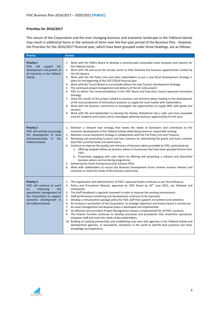# **Priorities for 2016/2017**

The nature of the Corporation and the ever-changing business and economic landscape in the Falkland Islands may result in additional items or the removal of items over the five-year period of the Business Plan. However, the Priorities for the 2016/2017 financial year, which have been grouped under three headings, are as follows;

| <b>Priority</b>                                                                                                                                                                                | <b>Actions</b>                                                                                                                                                                                                                                                                                                                                                                                                                                                                                                                                                                                                                                                                                                                                                                                                                                                                                                                                                                                                                                                                                                                                                                                                                                                         |
|------------------------------------------------------------------------------------------------------------------------------------------------------------------------------------------------|------------------------------------------------------------------------------------------------------------------------------------------------------------------------------------------------------------------------------------------------------------------------------------------------------------------------------------------------------------------------------------------------------------------------------------------------------------------------------------------------------------------------------------------------------------------------------------------------------------------------------------------------------------------------------------------------------------------------------------------------------------------------------------------------------------------------------------------------------------------------------------------------------------------------------------------------------------------------------------------------------------------------------------------------------------------------------------------------------------------------------------------------------------------------------------------------------------------------------------------------------------------------|
| <b>Priority 1</b><br>FIDC will<br>support the<br>development and growth of<br>all industries in the Falkland<br><b>Islands</b>                                                                 | 1. Work with the FIMCo Board to develop a commercially sustainable meat company and industry for<br>the Falkland Islands;<br>2. Work with FIG and assist the private sector to fully maximise the business opportunities created by<br>the Oil industry.<br>3. Work with the FIG Policy Unit and other stakeholders to put a new Rural Development Strategy in<br>place for the beginning of the 2017/2018 financial year;<br>4. Work with the Tourist Board to successfully deliver the new Tourism Development Strategy;<br>5. The continued project management and delivery of the Air Links project;<br>6. FIDC to deliver the recommendations in the FIDC Board and Executive Council approved Innovation<br>Strategy;<br>7. Share the results of the project related to business and technical advice leading to the development<br>of the local production of horticulture products to supply the local market with stakeholders;<br>8. Work with the business community to investigate the opportunities to supply MPC with goods and<br>services;<br>9. Work with FIG and stakeholders to develop the Stanley Waterfront into a safer and more enjoyable<br>area for residents and visitors and to investigate potential business opportunities for the area. |
| <b>Priority 2</b><br>FIDC will actively encourage<br>the development of local<br>entrepreneurship<br>in<br>the<br><b>Falkland Islands</b>                                                      | 1. Maintain a relevant loan strategy that meets the needs of borrowers and contributes to the<br>economic development of the Falkland Islands while being based on responsible lending;<br>2. Maintain a local investment strategy in collaboration with the FIG Policy Unit and Treasury;<br>3. Reviewing and promoting its grant and loan schemes by rationalising the grants and loans schemes<br>that FIDC currently funds and administers;<br>4. Continue to improve the quality and relevance of business advice provided by FIDC, particularly by;<br>a. Offering bespoke follow-up business advice to businesses that have been granted finance from<br>FIDC;<br>b. Proactively engaging with new clients by offering and promoting a relevant and diversified<br>business advice and mentoring programme;<br>5. Delivering the Youth Entrepreneurship Scheme (YES);<br>6. Work with stakeholders to ensure the Business Development Grant scheme remains relevant and<br>continues to meet the needs of the business community.                                                                                                                                                                                                                               |
| <b>Priority 3</b><br>FIDC will continue to work<br>improving<br>the<br><b>on</b><br>operational management of<br>the Corporation to support<br>economic development in<br>the Falkland Islands | 1. The organisation and administration of FIDC's approval bodies continues as per the Ordinance;<br>2. Policy and Procedures Manual, approved by FIDC Board by 30 <sup>th</sup> June 2015, are followed and<br>maintained;<br>3. The Staff Handbook is regularly reviewed in order to improve the working environment;<br>4. Staff performance monitoring and development continues to be improved;<br>5. Develop a remuneration package policy for FIDC staff that supports recruitment and retention;<br>6. An increase in promotion of the Corporation, its strategic objectives and lessons learnt is carried out;<br>7. An asset management and disposal policy is developed and implemented;<br>8. An effective and consistent Project Management system is implemented for all FIDC's projects;<br>9. The Finance function continues to develop processes and procedures that streamline operations,<br>empower staff and meet the needs of key stakeholders.<br>10. Building on existing partnerships and establishing new ones with agencies in the Falkland Islands and<br>development agencies, or equivalents, elsewhere in the world to identify best practices and share<br>knowledge and experience.                                                    |

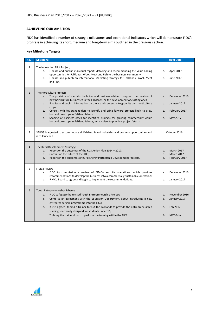# **ACHIEVEING OUR AMBITION**

FIDC has identified a number of strategic milestones and operational indicators which will demonstrate FIDC's progress in achieving its short, medium and long-term aims outlined in the previous section.

# **Key Milestone Targets**

| No.            | <b>Milestone</b>                                                                                                                                                                                                                                                                                                                                                                                                                                                                                                                                                                                                                                             | <b>Target Date</b>                                                                                                  |
|----------------|--------------------------------------------------------------------------------------------------------------------------------------------------------------------------------------------------------------------------------------------------------------------------------------------------------------------------------------------------------------------------------------------------------------------------------------------------------------------------------------------------------------------------------------------------------------------------------------------------------------------------------------------------------------|---------------------------------------------------------------------------------------------------------------------|
| $\mathbf{1}$   | The Innovation Pilot Project;<br>Finalise and publish individual reports detailing and recommending the value adding<br>a.<br>opportunities for Falklands' Wool, Meat and Fish to the business community.<br>Finalise and publish an international Marketing Strategy for Falklands' Wool, Meat<br>b.<br>and Fish.                                                                                                                                                                                                                                                                                                                                           | April 2017<br>a.<br>June 2017<br>b <sub>1</sub>                                                                     |
| $\overline{2}$ | The Horticulture Project;<br>The provision of specialist technical and business advice to support the creation of<br>a.<br>new horticulture businesses in the Falklands, or the development of existing ones.<br>Finalise and publish information on the Islands potential to grow its own horticulture<br>b.<br>crops.<br>Consult with key stakeholders to identify and bring forward projects likely to grow<br>C <sub>1</sub><br>horticulture crops in Falkland Islands.<br>Scoping of business cases for identified projects for growing commercially viable<br>d.<br>horticulture crops in Falkland Islands, with a view to practical project 'starts'. | December 2016<br>a <sub>x</sub><br>b.<br>January 2017<br>February 2017<br>C <sub>1</sub><br>$d_{\cdot}$<br>May 2017 |
| 3              | SAROS is adjusted to accommodate all Falkland Island industries and business opportunities and<br>is re-launched.                                                                                                                                                                                                                                                                                                                                                                                                                                                                                                                                            | October 2016                                                                                                        |
| $\overline{4}$ | The Rural Development Strategy;<br>Report on the outcomes of the RDS Action Plan 2014 - 2017;<br>a.<br>Consult on the future of the RDS;<br>b.<br>Report on the outcomes of Rural Energy Partnership Development Projects.<br>c.                                                                                                                                                                                                                                                                                                                                                                                                                             | <b>March 2017</b><br>a.<br><b>March 2017</b><br>b.<br>February 2017<br>c.                                           |
| 5              | <b>FIMCo Review</b><br>FIDC to commission a review of FIMCo and its operations, which provides<br>a.<br>recommendations to develop the business into a commercially sustainable operation;<br>FIMCo Board to agree and begin to implement the recommendations.<br>b.                                                                                                                                                                                                                                                                                                                                                                                         | December 2016<br>a.<br>January 2017<br>b.                                                                           |
| 6              | Youth Entrepreneurship Scheme<br>FIDC to launch the revised Youth Entrepreneurship Project;<br>a.<br>Come to an agreement with the Education Department, about introducing a new<br>b.<br>entrepreneurship programme into the FICS;<br>If it is agreed, to find a trainer to visit the Falklands to provide the entrepreneurship<br>c.<br>training specifically designed for students under 16;<br>To bring the trainer down to perform the training within the FICS.<br>d.                                                                                                                                                                                  | November 2016<br>a.<br>January 2017<br>b.<br>Feb 2017<br>c.<br>May 2017<br>d.                                       |

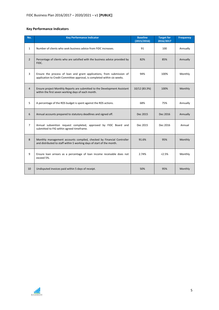# **Key Performance Indicators**

| No.            | <b>Key Performance Indicator</b>                                                                                                                  | <b>Baseline</b><br>(2015/2016) | <b>Target for</b><br>2016/2017 | <b>Frequency</b> |
|----------------|---------------------------------------------------------------------------------------------------------------------------------------------------|--------------------------------|--------------------------------|------------------|
| $\mathbf{1}$   | Number of clients who seek business advice from FIDC increases.                                                                                   | 91                             | 100                            | Annually         |
| $\overline{2}$ | Percentage of clients who are satisfied with the business advice provided by<br>FIDC.                                                             | 82%                            | 85%                            | Annually         |
| 3              | Ensure the process of loan and grant applications, from submission of<br>application to Credit Committee approval, is completed within six weeks. | 94%                            | 100%                           | Monthly          |
| $\overline{4}$ | Ensure project Monthly Reports are submitted to the Development Assistant<br>within the first seven working days of each month.                   | 10/12 (83.3%)                  | 100%                           | Monthly          |
| 5              | A percentage of the RDS budget is spent against the RDS actions.                                                                                  | 68%                            | 75%                            | Annually         |
| 6              | Annual accounts prepared to statutory deadlines and signed off.                                                                                   | Dec 2015                       | Dec 2016                       | Annually         |
| $\overline{7}$ | Annual subvention request completed, approved by FIDC Board and<br>submitted to FIG within agreed timeframe.                                      | Dec 2015                       | Dec 2016                       | Annual           |
| 8              | Monthly management accounts compiled, checked by Financial Controller<br>and distributed to staff within 5 working days of start of the month.    | 91.6%                          | 95%                            | Monthly          |
| 9              | Ensure loan arrears as a percentage of loan income receivable does not<br>exceed 5%.                                                              | 2.74%                          | < 2.5%                         | Monthly          |
| 10             | Undisputed invoices paid within 5 days of receipt.                                                                                                | 50%                            | 95%                            | Monthly          |

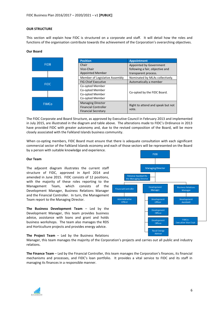#### **OUR STRUCTURE**

This section will explain how FIDC is structured on a corporate and staff. It will detail how the roles and functions of the organisation contribute towards the achievement of the Corporation's overarching objectives.

#### **Our Board**



The FIDC Corporate and Board Structure, as approved by Executive Council in February 2013 and implemented in July 2015, are illustrated in the diagram and table above. The alterations made to FIDC's Ordinance in 2013 have provided FIDC with greater autonomy and, due to the revised composition of the Board, will be more closely associated with the Falkland Islands business community.

When co-opting members, FIDC Board must ensure that there is adequate consultation with each significant commercial sector of the Falkland Islands economy and each of those sectors will be represented on the Board by a person with suitable knowledge and experience.

#### **Our Team**

The adjacent diagram illustrates the current staff structure of FIDC, approved in April 2014 and amended in June 2015. FIDC consists of 12 positions, with the majority of these roles reporting to the Management Team, which consists of the Development Manager, Business Relations Manager and the Financial Controller. In turn, the Management Team report to the Managing Director.

**The Business Development Team** – Led by the Development Manager, this team provides business advice, assistance with loans and grant and holds business workshops. The team also manages the RDS and Horticulture projects and provides energy advice.



FIDR

# **The Project Team** – Led by the Business Relations

Manager, this team manages the majority of the Corporation's projects and carries out all public and industry relations.

**The Finance Team** – Led by the Financial Controller, this team manages the Corporation's finances, its financial mechanisms and processes, and FIDC's loan portfolio. It provides a vital service to FIDC and its staff in managing its finances in a responsible manner.

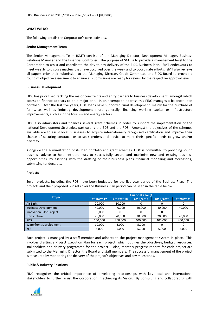#### **WHAT WE DO**

The following details the Corporation's core activities.

#### **Senior Management Team**

The Senior Management Team (SMT) consists of the Managing Director, Development Manager, Business Relations Manager and the Financial Controller. The purpose of SMT is to provide a management level to the Corporation to assist and coordinate the day-to-day delivery of the FIDC Business Plan. SMT endeavours to meet weekly to discuss matters that have occurred over the week and to coordinate efforts. SMT also reviews all papers prior their submission to the Managing Director, Credit Committee and FIDC Board to provide a round of objective assessment to ensure all submissions are ready for review by the respective approval level.

#### **Business Development**

FIDC has prioritised tackling the major constraints and entry barriers to business development, amongst which access to finance appears to be a major one. In an attempt to address this FIDC manages a balanced loan portfolio. Over the last five years, FIDC loans have supported rural development, mainly for the purchase of farms, as well as industry development more generally, financing working capital or infrastructure improvements, such as in the tourism and energy sectors.

FIDC also administers and finances several grant schemes in order to support the implementation of the national Development Strategies, particularly the EDS and the RDS. Amongst the objectives of the schemes available are to assist local businesses to acquire internationally recognised certification and improve their chance of securing contracts or to seek professional advice to meet their specific needs to grow and/or diversify.

Alongside the administration of its loan portfolio and grant schemes, FIDC is committed to providing sound business advice to help entrepreneurs to successfully secure and maximise new and existing business opportunities, by assisting with the drafting of their business plans, financial modelling and forecasting, submitting tenders, etc.

#### **Projects**

Seven projects, including the RDS, have been budgeted for the five-year period of the Business Plan. The projects and their proposed budgets over the Business Plan period can be seen in the table below.

|                                 | <b>Financial Year (£)</b> |           |           |           |           |  |
|---------------------------------|---------------------------|-----------|-----------|-----------|-----------|--|
| <b>Project</b>                  | 2016/2017                 | 2017/2018 | 2018/2019 | 2019/2020 | 2020/2021 |  |
| <b>Air Links</b>                | 20,000                    | 10,000    |           |           |           |  |
| <b>Business Development</b>     | 40,000                    | 40,000    | 40,000    | 40.000    | 40,000    |  |
| <b>Innovation Pilot Project</b> | 50,000                    | 0         |           |           |           |  |
| Horticulture                    | 20,000                    | 20,000    | 20,000    | 20.000    | 20,000    |  |
| <b>RDS</b>                      | 100,000                   | 400,000   | 400,000   | 400,000   | 400,000   |  |
| <b>Waterfront Development</b>   | 10.000                    | 5,000     | 5,000     |           |           |  |
| <b>YES</b>                      | 5,000                     | 5,000     | 5,000     | 5,000     | 5,000     |  |

Each project is managed by a staff member and adheres to the project management system in place. This involves drafting a Project Execution Plan for each project, which outlines the objectives, budget, resources, stakeholders and delivery programme for the project. Also, monthly progress reports for each project are submitted to the Managing Director, the Board and staff members. The successful management of the project is measured by monitoring the delivery of the project's objectives and key milestones.

#### **Public & Industry Relations**

FIDC recognises the critical importance of developing relationships with key local and international stakeholders to further assist the Corporation in achieving its Vision. By consulting and collaborating with

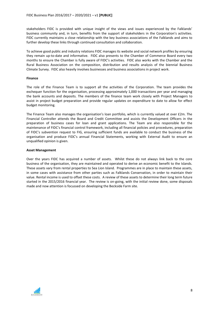stakeholders FIDC is provided with unique insight of the views and issues experienced by the Falklands' business community and, in turn, benefits from the support of stakeholders in the Corporation's activities. FIDC currently maintains a close relationship with the key business associations of the Falklands and aims to further develop these links through continued consultation and collaboration.

To achieve good public and industry relations FIDC manages its website and social network profiles by ensuring they remain up-to-date and informative. FIDC also presents to the Chamber of Commerce Board every two months to ensure the Chamber is fully aware of FIDC's activities. FIDC also works with the Chamber and the Rural Business Association on the composition, distribution and results analysis of the biennial Business Climate Survey. FIDC also heavily involves businesses and business associations in project work.

#### **Finance**

The role of the Finance Team is to support all the activities of the Corporation. The team provides the exchequer function for the organisation, processing approximately 1,000 transactions per year and managing the bank accounts and deposits. The members of the finance team work closely with Project Managers to assist in project budget preparation and provide regular updates on expenditure to date to allow for effect budget monitoring.

The Finance Team also manages the organisation's loan portfolio, which is currently valued at over £2m. The Financial Controller attends the Board and Credit Committee and assists the Development Officers in the preparation of business cases for loan and grant applications. The Team are also responsible for the maintenance of FIDC's financial control framework, including all financial policies and procedures, preparation of FIDC's subvention request to FIG, ensuring sufficient funds are available to conduct the business of the organisation and produce FIDC's annual Financial Statements, working with External Audit to ensure an unqualified opinion is given.

#### **Asset Management**

Over the years FIDC has acquired a number of assets. Whilst these do not always link back to the core business of the organisation, they are maintained and operated to derive an economic benefit to the Islands. These assets vary from rental properties to Sea Lion Island. Programmes are in place to maintain these assets, in some cases with assistance from other parties such as Falklands Conservation, in order to maintain their value. Rental income is used to offset these costs. A review of these assets to determine their long term future started in the 2015/2016 financial year. The review is on-going, with the initial review done, some disposals made and now attention is focussed on developing the Beckside Farm site.

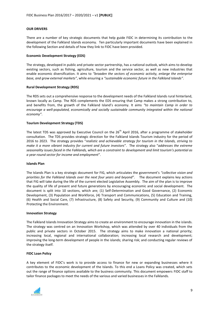#### **OUR DRIVERS**

There are a number of key strategic documents that help guide FIDC in determining its contribution to the development of the Falkland Islands economy. Ten particularly important documents have been explained in the following Section and details of how they link to FIDC have been provided.

#### **Economic Development Strategy (EDS)**

The strategy, developed in public and private sector partnership, has a national outlook, which aims to develop existing sectors, such as fishing, agriculture, tourism and the service sector, as well as new industries that enable economic diversification. It aims to *"broaden the sectors of economic activity, enlarge the enterprise base, and grow external markets"*, while ensuring a *"sustainable economic future in the Falkland Islands"*.

#### **Rural Development Strategy (RDS)**

The RDS sets out a comprehensive response to the development needs of the Falkland Islands rural hinterland, known locally as Camp. The RDS complements the EDS ensuring that Camp makes a strong contribution to, and benefits from, the growth of the Falkland Island's economy. It aims *"to maintain Camp in order to encourage a well-populated, economically and socially sustainable community integrated within the national economy"*.

#### **Tourism Development Strategy (TDS)**

The latest TDS was approved by Executive Council on the  $26<sup>th</sup>$  April 2016, after a programme of stakeholder consultation. The TDS provides strategic direction for the Falkland Islands Tourism industry for the period of 2016 to 2023. The strategy provides "*realistic and achievable strategy for tourism in the Islands, striving to make it a more vibrant industry for current and future investors*". The strategy also "*addresses the extreme seasonality issues faced in the Falklands, which are a constraint to development and limit tourism's potential as a year-round sector for income and employment*".

#### **Islands Plan**

The Islands Plan is a key strategic document for FIG, which articulates the government's *"collective vision and priorities for the Falkland Islands over the next four years and beyond"*. The document explains key actions that FIG will take during the life of the current elected Legislative Assembly. The aim of the plan is to improve the quality of life of present and future generations by encouraging economic and social development. The document is split into 10 sections, which are; (1) Self-Determination and Good Governance, (2) Economic Development, (3) Population and Workforce, (4) Transport and Communications, (5) Education and Training, (6) Health and Social Care, (7) Infrastructure, (8) Safety and Security, (9) Community and Culture and (10) Protecting the Environment.

#### **Innovation Strategy**

The Falkland Islands Innovation Strategy aims to create an environment to encourage innovation in the islands. The strategy was centred on an Innovation Workshop, which was attended by over 40 individuals from the public and private sectors in October 2015. The strategy aims to make innovation a national priority; increasing local, regional and international collaboration; increasing local research and development; improving the long-term development of people in the islands; sharing risk; and conducting regular reviews of the strategy itself.

#### **FIDC Loan Policy**

A key element of FIDC's work is to provide access to finance for new or expanding businesses where it contributes to the economic development of the Islands. To this end a Loans Policy was created, which sets out the range of finance options available to the business community. This document empowers FIDC staff to tailor finance packages to meet the needs of the various and varied businesses in the Falklands.

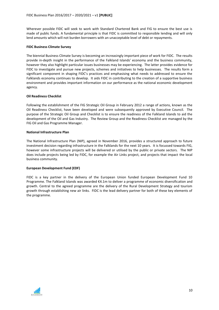Wherever possible FIDC will seek to work with Standard Chartered Bank and FIG to ensure the best use is made of public funds. A fundamental principle is that FIDC is committed to responsible lending and will only lend amounts which will not burden borrowers with an unacceptable level of debt or repayments.

#### **FIDC Business Climate Survey**

The biennial Business Climate Survey is becoming an increasingly important piece of work for FIDC. The results provide in-depth insight in the performance of the Falkland Islands' economy and the business community, however they also highlight particular issues businesses may be experiencing. The latter provides evidence for FIDC to investigate and pursue new projects, schemes and initiatives to help businesses. The results form a significant component in shaping FIDC's practices and emphasising what needs to addressed to ensure the Falklands economy continues to develop. It aids FIDC in contributing to the creation of a supportive business environment and provides important information on our performance as the national economic development agency.

#### **Oil Readiness Checklist**

Following the establishment of the FIG Strategic Oil Group in February 2012 a range of actions, known as the Oil Readiness Checklist, have been developed and were subsequently approved by Executive Council. The purpose of the Strategic Oil Group and Checklist is to ensure the readiness of the Falkland Islands to aid the development of the Oil and Gas Industry. The Review Group and the Readiness Checklist are managed by the FIG Oil and Gas Programme Manager.

#### **National Infrastructure Plan**

The National Infrastructure Plan (NIP), agreed in November 2016, provides a structured approach to future investment decision regarding infrastructure in the Falklands for the next 10 years. It is focussed towards FIG, however some infrastructure projects will be delivered or utilised by the public or private sectors. The NIP does include projects being led by FIDC, for example the Air Links project, and projects that impact the local business community.

#### **European Development Fund (EDF)**

FIDC is a key partner in the delivery of the European Union funded European Development Fund 10 Programme. The Falkland Islands was awarded €4.1m to deliver a programme of economic diversification and growth. Central to the agreed programme are the delivery of the Rural Development Strategy and tourism growth through establishing new air links. FIDC is the lead delivery partner for both of these key elements of the programme.

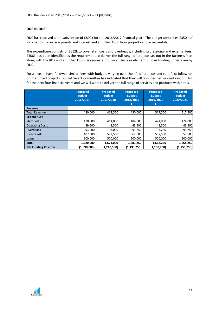#### **OUR BUDGET**

FIDC has received a net subvention of £800k for the 2016/2017 financial year. The budget comprises £350k of income from loan repayments and interest and a further £80k from property and asset rentals.

The expenditure consists of £612k to cover staff costs and overheads, including professional and external fees. £408k has been identified as the requirement to deliver the full range of projects set out in the Business Plan along with the RDS and a further £500k is requested to cover the core element of loan funding undertaken by FIDC.

Future years have followed similar lines with budgets varying over the life of projects and to reflect follow on or interlinked projects. Budget Select Committee has indicated that they will consider net subventions of £1m for the next four financial years and we will work to deliver the full range of services and products within this.

|                             | <b>Approved</b><br><b>Budget</b><br>2016/2017<br>£ | <b>Proposed</b><br><b>Budget</b><br>2017/2018 | <b>Proposed</b><br><b>Budget</b><br>2018/2019<br>£ | <b>Proposed</b><br><b>Budget</b><br>2019/2020<br>£ | <b>Proposed</b><br><b>Budget</b><br>2020/2021 |
|-----------------------------|----------------------------------------------------|-----------------------------------------------|----------------------------------------------------|----------------------------------------------------|-----------------------------------------------|
| Revenue                     |                                                    |                                               |                                                    |                                                    |                                               |
| <b>Total Revenue</b>        | 430,000                                            | 462,500                                       | 490,000                                            | 517,500                                            | 517,500                                       |
| <b>Expenditure</b>          |                                                    |                                               |                                                    |                                                    |                                               |
| <b>Staff Costs</b>          | 470,000                                            | 464,000                                       | 484,000                                            | 474,000                                            | 474,000                                       |
| <b>Operating Costs</b>      | 49,500                                             | 43,500                                        | 43,500                                             | 43,500                                             | 43,500                                        |
| Overheads                   | 93,000                                             | 93,000                                        | 93,250                                             | 93,250                                             | 93,250                                        |
| <b>Direct Costs</b>         | 407,500                                            | 572,500                                       | 562,500                                            | 557,500                                            | 557,500                                       |
| Loans                       | 500,000                                            | 500,000                                       | 500,000                                            | 500,000                                            | 500,000                                       |
| <b>Total</b>                | 1,520,000                                          | 1,673,000                                     | 1,683,250                                          | 1,668,250                                          | 1,668,250                                     |
| <b>Net Funding Position</b> | (1,090,000)                                        | (1,210,500)                                   | (1, 193, 250)                                      | (1, 150, 750)                                      | (1, 150, 750)                                 |

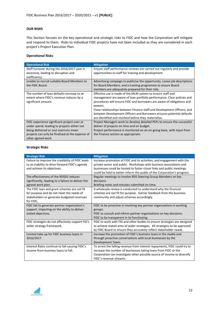### **OUR RISKS**

This Section focuses on the key operational and strategic risks to FIDC and how the Corporation will mitigate and respond to them. Risks to individual FIDC projects have not been included as they are considered in each project's Project Execution Plan.

### **Operational Risks**

| <b>Operational Risk</b>                                                                                                                                                                                       | <b>Mitigation</b>                                                                                                                                                                                                                                                                                                                                                                                                                      |
|---------------------------------------------------------------------------------------------------------------------------------------------------------------------------------------------------------------|----------------------------------------------------------------------------------------------------------------------------------------------------------------------------------------------------------------------------------------------------------------------------------------------------------------------------------------------------------------------------------------------------------------------------------------|
| Staff turnover during the 2016/2017 year is                                                                                                                                                                   | Ensure staff performance reviews are carried out regularly and provide                                                                                                                                                                                                                                                                                                                                                                 |
| excessive, leading to disruption and                                                                                                                                                                          | opportunities to staff for training and development.                                                                                                                                                                                                                                                                                                                                                                                   |
| inefficiency.                                                                                                                                                                                                 |                                                                                                                                                                                                                                                                                                                                                                                                                                        |
| Unable to recruit suitable Board Members to                                                                                                                                                                   | Advertising campaign to publicise the opportunity. Loose job descriptions                                                                                                                                                                                                                                                                                                                                                              |
| the FIDC Board.                                                                                                                                                                                               | for Board Members, and a training programme to ensure Board                                                                                                                                                                                                                                                                                                                                                                            |
|                                                                                                                                                                                                               | members are adequately prepared for their role.                                                                                                                                                                                                                                                                                                                                                                                        |
| The number of loan defaults increase to an<br>extent where FIDC's revenue reduces by a<br>significant amount.                                                                                                 | Effective use is made of the MLM system to ensure staff and<br>management are aware of loan portfolio performance. Clear policies and<br>procedures will ensure FIDC and borrowers are aware of obligations and<br>powers.<br>Close relationships between Finance staff and Development Officers, and<br>between Development Officers and Borrowers ensures potential defaults<br>are identified and resolved before they materialise. |
| FIDC experience significant project over or<br>under spend, leading to projects either not<br>being delivered or cost overruns mean<br>projects can only be finalised at the expense of<br>other agreed work. | Project Managers work to develop detailed PEPs to ensure the successful<br>deliver of projects on time and on budget.<br>Project performance is monitored on an on-going basis, with input from<br>the Finance section as appropriate.                                                                                                                                                                                                 |

# **Strategic Risks**

| <b>Strategic Risk</b>                              | <b>Mitigation</b>                                                         |
|----------------------------------------------------|---------------------------------------------------------------------------|
| Failure to improve the credibility of FIDC leads   | Increase promotion of FIDC and its activities, and engagement with the    |
| to an inability to drive forward FIDC's agenda     | private sector and public. Workshops with business associations and       |
| and achieve its objectives.                        | businesses could be hosted to foster closer links and public meetings     |
|                                                    | could be held to better inform the public of the Corporation's progress.  |
| The effectiveness of the RDSSG reduces             | Regular meetings to involve RDS Steering Group Members on key             |
| significantly, leading to a failure to deliver the | decisions.                                                                |
| agreed work plan.                                  | Briefing notes and minutes submitted on time.                             |
| The FIDC loan and grant schemes are not fit        | A wholesale review is conducted to understand why the financial           |
| for purpose and do not meet the needs of           | schemes are not fit for purpose. Garner feedback from the business        |
| stakeholders or generate budgeted revenues         | community and adjust schemes accordingly.                                 |
| for FIDC.                                          |                                                                           |
| FIDC fail to generate partner organisation's       | FIDC to be proactive in involving key partner organisations in working    |
| support, impacting on the ability to deliver       | groups.                                                                   |
| stated objectives.                                 | FIDC to consult and inform partner organisations on key decisions.        |
|                                                    | FIDC to be transparent in its functioning.                                |
| FIDC strategies do not effectively support FIG's   | FIDC to work with FIG and other bodies to ensure strategies are designed  |
| wider strategy framework.                          | to achieve stated aims of wider strategies. All strategies to be approved |
|                                                    | by FIDC Board to ensure they accurately reflect stakeholder needs.        |
| Limited take-up for FIDC business loans in         | Increase the promotion of FIDC's business loans in the media and          |
| 2016/2017.                                         | through proactive conversations with local businesses by the              |
|                                                    | Development Team.                                                         |
| Interest Rates continue to fall causing FIDC's     | To arrest the falling revenue from interest repayments, FIDC could try to |
| income from business loans to fall.                | increase the number of businesses taking loans from FIDC or the           |
|                                                    | Corporation can investigate other possible source of income to diversify  |
|                                                    | FIDC's revenue streams.                                                   |
|                                                    |                                                                           |